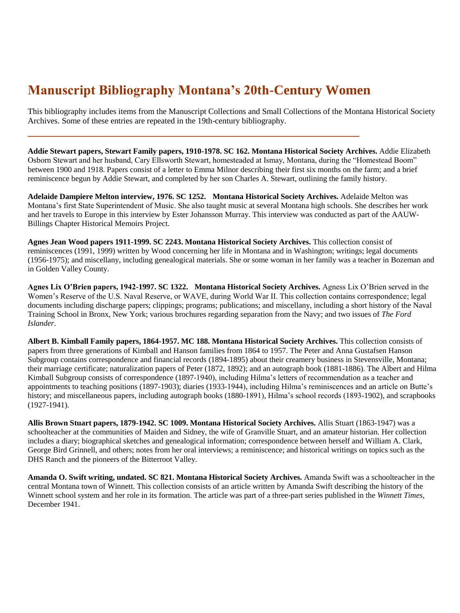## **Manuscript Bibliography Montana's 20th-Century Women**

**\_\_\_\_\_\_\_\_\_\_\_\_\_\_\_\_\_\_\_\_\_\_\_\_\_\_\_\_\_\_\_\_\_\_\_\_\_\_\_\_\_\_\_\_\_\_\_\_\_\_\_\_\_\_\_\_\_\_\_\_\_\_\_** 

This bibliography includes items from the Manuscript Collections and Small Collections of the Montana Historical Society Archives. Some of these entries are repeated in the 19th-century bibliography.

**Addie Stewart papers, Stewart Family papers, 1910-1978. SC 162. Montana Historical Society Archives.** Addie Elizabeth Osborn Stewart and her husband, Cary Ellsworth Stewart, homesteaded at Ismay, Montana, during the "Homestead Boom" between 1900 and 1918. Papers consist of a letter to Emma Milnor describing their first six months on the farm; and a brief reminiscence begun by Addie Stewart, and completed by her son Charles A. Stewart, outlining the family history.

**Adelaide Dampiere Melton interview, 1976. SC 1252. Montana Historical Society Archives.** Adelaide Melton was Montana's first State Superintendent of Music. She also taught music at several Montana high schools. She describes her work and her travels to Europe in this interview by Ester Johansson Murray. This interview was conducted as part of the AAUW-Billings Chapter Historical Memoirs Project.

**Agnes Jean Wood papers 1911-1999. SC 2243. Montana Historical Society Archives.** This collection consist of reminiscences (1991, 1999) written by Wood concerning her life in Montana and in Washington; writings; legal documents (1956-1975); and miscellany, including genealogical materials. She or some woman in her family was a teacher in Bozeman and in Golden Valley County.

**Agnes Lix O'Brien papers, 1942-1997. SC 1322. Montana Historical Society Archives.** Agness Lix O'Brien served in the Women's Reserve of the U.S. Naval Reserve, or WAVE, during World War II. This collection contains correspondence; legal documents including discharge papers; clippings; programs; publications; and miscellany, including a short history of the Naval Training School in Bronx, New York; various brochures regarding separation from the Navy; and two issues of *The Ford Islander*.

**Albert B. Kimball Family papers, 1864-1957. MC 188. Montana Historical Society Archives.** This collection consists of papers from three generations of Kimball and Hanson families from 1864 to 1957. The Peter and Anna Gustafsen Hanson Subgroup contains correspondence and financial records (1894-1895) about their creamery business in Stevensville, Montana; their marriage certificate; naturalization papers of Peter (1872, 1892); and an autograph book (1881-1886). The Albert and Hilma Kimball Subgroup consists of correspondence (1897-1940), including Hilma's letters of recommendation as a teacher and appointments to teaching positions (1897-1903); diaries (1933-1944), including Hilma's reminiscences and an article on Butte's history; and miscellaneous papers, including autograph books (1880-1891), Hilma's school records (1893-1902), and scrapbooks (1927-1941).

**Allis Brown Stuart papers, 1879-1942. SC 1009. Montana Historical Society Archives.** Allis Stuart (1863-1947) was a schoolteacher at the communities of Maiden and Sidney, the wife of Granville Stuart, and an amateur historian. Her collection includes a diary; biographical sketches and genealogical information; correspondence between herself and William A. Clark, George Bird Grinnell, and others; notes from her oral interviews; a reminiscence; and historical writings on topics such as the DHS Ranch and the pioneers of the Bitterroot Valley.

**Amanda O. Swift writing, undated. SC 821. Montana Historical Society Archives.** Amanda Swift was a schoolteacher in the central Montana town of Winnett. This collection consists of an article written by Amanda Swift describing the history of the Winnett school system and her role in its formation. The article was part of a three-part series published in the *Winnett Times,*  December 1941.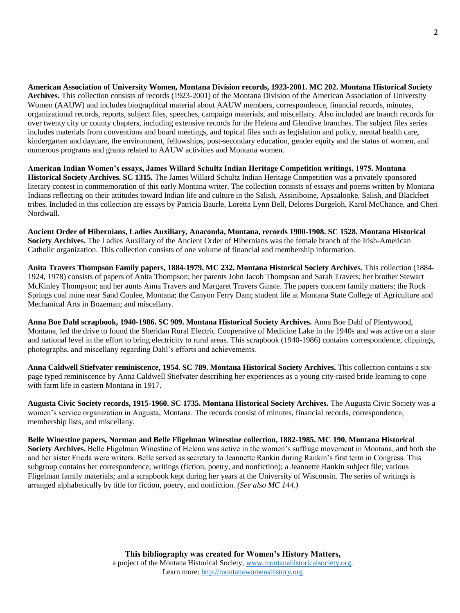**American Association of University Women, Montana Division records, 1923-2001. MC 202. Montana Historical Society Archives.** This collection consists of records (1923-2001) of the Montana Division of the American Association of University Women (AAUW) and includes biographical material about AAUW members, correspondence, financial records, minutes, organizational records, reports, subject files, speeches, campaign materials, and miscellany. Also included are branch records for over twenty city or county chapters, including extensive records for the Helena and Glendive branches. The subject files series includes materials from conventions and board meetings, and topical files such as legislation and policy, mental health care, kindergarten and daycare, the environment, fellowships, post-secondary education, gender equity and the status of women, and numerous programs and grants related to AAUW activities and Montana women.

**American Indian Women's essays, James Willard Schultz Indian Heritage Competition writings, 1975. Montana Historical Society Archives. SC 1315.** The James Willard Schultz Indian Heritage Competition was a privately sponsored literary contest in commemoration of this early Montana writer. The collection consists of essays and poems written by Montana Indians reflecting on their attitudes toward Indian life and culture in the Salish, Assiniboine, Apsaalooke, Salish, and Blackfeet tribes. Included in this collection are essays by Patricia Baurle, Loretta Lynn Bell, Delores Durgeloh, Karol McChance, and Cheri Nordwall.

**Ancient Order of Hibernians, Ladies Auxiliary, Anaconda, Montana, records 1900-1908. SC 1528. Montana Historical Society Archives.** The Ladies Auxiliary of the Ancient Order of Hibernians was the female branch of the Irish-American Catholic organization. This collection consists of one volume of financial and membership information.

**Anita Travers Thompson Family papers, 1884-1979. MC 232. Montana Historical Society Archives.** This collection (1884- 1924, 1978) consists of papers of Anita Thompson; her parents John Jacob Thompson and Sarah Travers; her brother Stewart McKinley Thompson; and her aunts Anna Travers and Margaret Travers Ginste. The papers concern family matters; the Rock Springs coal mine near Sand Coulee, Montana; the Canyon Ferry Dam; student life at Montana State College of Agriculture and Mechanical Arts in Bozeman; and miscellany.

**Anna Boe Dahl scrapbook, 1940-1986. SC 909. Montana Historical Society Archives.** Anna Boe Dahl of Plentywood, Montana, led the drive to found the Sheridan Rural Electric Cooperative of Medicine Lake in the 1940s and was active on a state and national level in the effort to bring electricity to rural areas. This scrapbook (1940-1986) contains correspondence, clippings, photographs, and miscellany regarding Dahl's efforts and achievements.

**Anna Caldwell Stiefvater reminiscence, 1954. SC 789. Montana Historical Society Archives.** This collection contains a sixpage typed reminiscence by Anna Caldwell Stiefvater describing her experiences as a young city-raised bride learning to cope with farm life in eastern Montana in 1917.

**Augusta Civic Society records, 1915-1960. SC 1735. Montana Historical Society Archives.** The Augusta Civic Society was a women's service organization in Augusta, Montana. The records consist of minutes, financial records, correspondence, membership lists, and miscellany.

**Belle Winestine papers, Norman and Belle Fligelman Winestine collection, 1882-1985. MC 190. Montana Historical Society Archives.** Belle Fligelman Winestine of Helena was active in the women's suffrage movement in Montana, and both she and her sister Frieda were writers. Belle served as secretary to Jeannette Rankin during Rankin's first term in Congress. This subgroup contains her correspondence; writings (fiction, poetry, and nonfiction); a Jeannette Rankin subject file; various Fligelman family materials; and a scrapbook kept during her years at the University of Wisconsin. The series of writings is arranged alphabetically by title for fiction, poetry, and nonfiction. *(See also MC 144.)*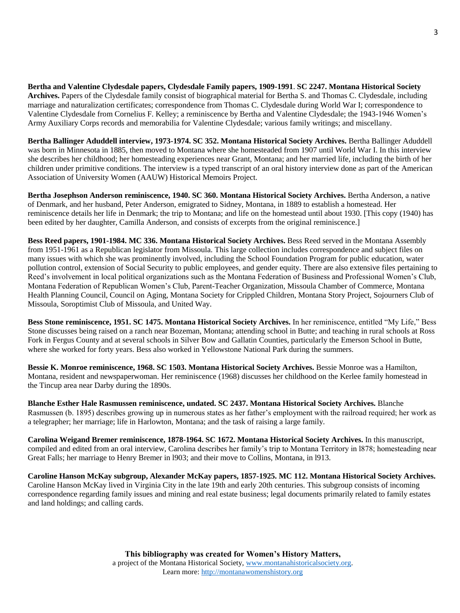**Bertha and Valentine Clydesdale papers, Clydesdale Family papers, 1909-1991**. **SC 2247. Montana Historical Society Archives.** Papers of the Clydesdale family consist of biographical material for Bertha S. and Thomas C. Clydesdale, including marriage and naturalization certificates; correspondence from Thomas C. Clydesdale during World War I; correspondence to Valentine Clydesdale from Cornelius F. Kelley; a reminiscence by Bertha and Valentine Clydesdale; the 1943-1946 Women's Army Auxiliary Corps records and memorabilia for Valentine Clydesdale; various family writings; and miscellany.

**Bertha Ballinger Aduddell interview, 1973-1974. SC 352. Montana Historical Society Archives.** Bertha Ballinger Aduddell was born in Minnesota in 1885, then moved to Montana where she homesteaded from 1907 until World War I. In this interview she describes her childhood; her homesteading experiences near Grant, Montana; and her married life, including the birth of her children under primitive conditions. The interview is a typed transcript of an oral history interview done as part of the American Association of University Women (AAUW) Historical Memoirs Project.

**Bertha Josephson Anderson reminiscence, 1940. SC 360. Montana Historical Society Archives.** Bertha Anderson, a native of Denmark, and her husband, Peter Anderson, emigrated to Sidney, Montana, in 1889 to establish a homestead. Her reminiscence details her life in Denmark; the trip to Montana; and life on the homestead until about 1930. [This copy (1940) has been edited by her daughter, Camilla Anderson, and consists of excerpts from the original reminiscence.]

**Bess Reed papers, 1901-1984. MC 336. Montana Historical Society Archives.** Bess Reed served in the Montana Assembly from 1951-1961 as a Republican legislator from Missoula. This large collection includes correspondence and subject files on many issues with which she was prominently involved, including the School Foundation Program for public education, water pollution control, extension of Social Security to public employees, and gender equity. There are also extensive files pertaining to Reed's involvement in local political organizations such as the Montana Federation of Business and Professional Women's Club, Montana Federation of Republican Women's Club, Parent-Teacher Organization, Missoula Chamber of Commerce, Montana Health Planning Council, Council on Aging, Montana Society for Crippled Children, Montana Story Project, Sojourners Club of Missoula, Soroptimist Club of Missoula, and United Way.

**Bess Stone reminiscence, 1951. SC 1475. Montana Historical Society Archives.** In her reminiscence, entitled "My Life," Bess Stone discusses being raised on a ranch near Bozeman, Montana; attending school in Butte; and teaching in rural schools at Ross Fork in Fergus County and at several schools in Silver Bow and Gallatin Counties, particularly the Emerson School in Butte, where she worked for forty years. Bess also worked in Yellowstone National Park during the summers.

**Bessie K. Monroe reminiscence, 1968. SC 1503. Montana Historical Society Archives.** Bessie Monroe was a Hamilton, Montana, resident and newspaperwoman. Her reminiscence (1968) discusses her childhood on the Kerlee family homestead in the Tincup area near Darby during the 1890s.

**Blanche Esther Hale Rasmussen reminiscence, undated. SC 2437. Montana Historical Society Archives.** Blanche Rasmussen (b. 1895) describes growing up in numerous states as her father's employment with the railroad required; her work as a telegrapher; her marriage; life in Harlowton, Montana; and the task of raising a large family.

**Carolina Weigand Bremer reminiscence, 1878-1964. SC 1672. Montana Historical Society Archives.** In this manuscript, compiled and edited from an oral interview, Carolina describes her family's trip to Montana Territory in l878; homesteading near Great Falls; her marriage to Henry Bremer in l903; and their move to Collins, Montana, in l913.

**Caroline Hanson McKay subgroup, Alexander McKay papers, 1857-1925. MC 112. Montana Historical Society Archives.** Caroline Hanson McKay lived in Virginia City in the late 19th and early 20th centuries. This subgroup consists of incoming correspondence regarding family issues and mining and real estate business; legal documents primarily related to family estates and land holdings; and calling cards.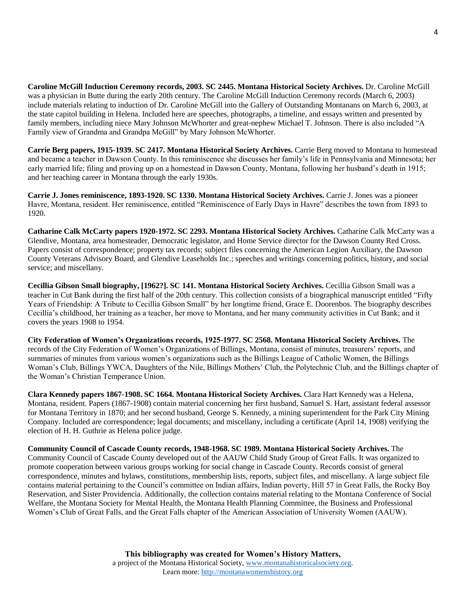**Caroline McGill Induction Ceremony records, 2003. SC 2445. Montana Historical Society Archives.** Dr. Caroline McGill was a physician in Butte during the early 20th century. The Caroline McGill Induction Ceremony records (March 6, 2003) include materials relating to induction of Dr. Caroline McGill into the Gallery of Outstanding Montanans on March 6, 2003, at the state capitol building in Helena. Included here are speeches, photographs, a timeline, and essays written and presented by family members, including niece Mary Johnson McWhorter and great-nephew Michael T. Johnson. There is also included "A Family view of Grandma and Grandpa McGill" by Mary Johnson McWhorter.

**Carrie Berg papers, 1915-1939. SC 2417. Montana Historical Society Archives.** Carrie Berg moved to Montana to homestead and became a teacher in Dawson County. In this reminiscence she discusses her family's life in Pennsylvania and Minnesota; her early married life; filing and proving up on a homestead in Dawson County, Montana, following her husband's death in 1915; and her teaching career in Montana through the early 1930s.

**Carrie J. Jones reminiscence, 1893-1920. SC 1330. Montana Historical Society Archives.** Carrie J. Jones was a pioneer Havre, Montana, resident. Her reminiscence, entitled "Reminiscence of Early Days in Havre" describes the town from 1893 to 1920.

**Catharine Calk McCarty papers 1920-1972. SC 2293. Montana Historical Society Archives.** Catharine Calk McCarty was a Glendive, Montana, area homesteader, Democratic legislator, and Home Service director for the Dawson County Red Cross. Papers consist of correspondence; property tax records; subject files concerning the American Legion Auxiliary, the Dawson County Veterans Advisory Board, and Glendive Leaseholds Inc.; speeches and writings concerning politics, history, and social service; and miscellany.

**Cecillia Gibson Small biography, [1962?]. SC 141. Montana Historical Society Archives.** Cecillia Gibson Small was a teacher in Cut Bank during the first half of the 20th century. This collection consists of a biographical manuscript entitled "Fifty Years of Friendship: A Tribute to Cecillia Gibson Small" by her longtime friend, Grace E. Doorenbos. The biography describes Cecillia's childhood, her training as a teacher, her move to Montana, and her many community activities in Cut Bank; and it covers the years 1908 to 1954.

**City Federation of Women's Organizations records, 1925-1977. SC 2568. Montana Historical Society Archives.** The records of the City Federation of Women's Organizations of Billings, Montana, consist of minutes, treasurers' reports, and summaries of minutes from various women's organizations such as the Billings League of Catholic Women, the Billings Woman's Club, Billings YWCA, Daughters of the Nile, Billings Mothers' Club, the Polytechnic Club, and the Billings chapter of the Woman's Christian Temperance Union.

**Clara Kennedy papers 1867-1908. SC 1664. Montana Historical Society Archives.** Clara Hart Kennedy was a Helena, Montana, resident. Papers (1867-1908) contain material concerning her first husband, Samuel S. Hart, assistant federal assessor for Montana Territory in 1870; and her second husband, George S. Kennedy, a mining superintendent for the Park City Mining Company. Included are correspondence; legal documents; and miscellany, including a certificate (April 14, 1908) verifying the election of H. H. Guthrie as Helena police judge.

**Community Council of Cascade County records, 1948-1968. SC 1989. Montana Historical Society Archives.** The Community Council of Cascade County developed out of the AAUW Child Study Group of Great Falls. It was organized to promote cooperation between various groups working for social change in Cascade County. Records consist of general correspondence, minutes and bylaws, constitutions, membership lists, reports, subject files, and miscellany. A large subject file contains material pertaining to the Council's committee on Indian affairs, Indian poverty, Hill 57 in Great Falls, the Rocky Boy Reservation, and Sister Providencia. Additionally, the collection contains material relating to the Montana Conference of Social Welfare, the Montana Society for Mental Health, the Montana Health Planning Committee, the Business and Professional Women's Club of Great Falls, and the Great Falls chapter of the American Association of University Women (AAUW).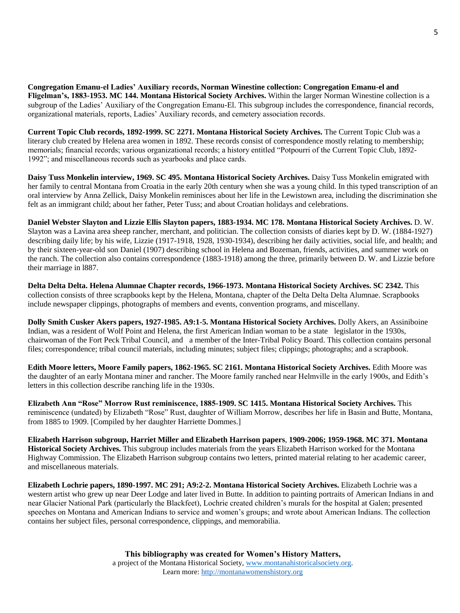**Congregation Emanu-el Ladies' Auxiliary records, Norman Winestine collection: Congregation Emanu-el and Fligelman's, 1883-1953. MC 144. Montana Historical Society Archives.** Within the larger Norman Winestine collection is a subgroup of the Ladies' Auxiliary of the Congregation Emanu-El. This subgroup includes the correspondence, financial records, organizational materials, reports, Ladies' Auxiliary records, and cemetery association records.

**Current Topic Club records, 1892-1999. SC 2271. Montana Historical Society Archives.** The Current Topic Club was a literary club created by Helena area women in 1892. These records consist of correspondence mostly relating to membership; memorials; financial records; various organizational records; a history entitled "Potpourri of the Current Topic Club, 1892- 1992"; and miscellaneous records such as yearbooks and place cards.

**Daisy Tuss Monkelin interview, 1969. SC 495. Montana Historical Society Archives.** Daisy Tuss Monkelin emigrated with her family to central Montana from Croatia in the early 20th century when she was a young child. In this typed transcription of an oral interview by Anna Zellick, Daisy Monkelin reminisces about her life in the Lewistown area, including the discrimination she felt as an immigrant child; about her father, Peter Tuss; and about Croatian holidays and celebrations.

**Daniel Webster Slayton and Lizzie Ellis Slayton papers, 1883-1934. MC 178. Montana Historical Society Archives.** D. W. Slayton was a Lavina area sheep rancher, merchant, and politician. The collection consists of diaries kept by D. W. (1884-1927) describing daily life; by his wife, Lizzie (1917-1918, 1928, 1930-1934), describing her daily activities, social life, and health; and by their sixteen-year-old son Daniel (1907) describing school in Helena and Bozeman, friends, activities, and summer work on the ranch. The collection also contains correspondence (1883-1918) among the three, primarily between D. W. and Lizzie before their marriage in l887.

**Delta Delta Delta. Helena Alumnae Chapter records, 1966-1973. Montana Historical Society Archives. SC 2342.** This collection consists of three scrapbooks kept by the Helena, Montana, chapter of the Delta Delta Delta Alumnae. Scrapbooks include newspaper clippings, photographs of members and events, convention programs, and miscellany.

**Dolly Smith Cusker Akers papers, 1927-1985. A9:1-5. Montana Historical Society Archives.** Dolly Akers, an Assiniboine Indian, was a resident of Wolf Point and Helena, the first American Indian woman to be a state legislator in the 1930s, chairwoman of the Fort Peck Tribal Council, and a member of the Inter-Tribal Policy Board. This collection contains personal files; correspondence; tribal council materials, including minutes; subject files; clippings; photographs; and a scrapbook.

**Edith Moore letters, Moore Family papers, 1862-1965. SC 2161. Montana Historical Society Archives.** Edith Moore was the daughter of an early Montana miner and rancher. The Moore family ranched near Helmville in the early 1900s, and Edith's letters in this collection describe ranching life in the 1930s.

**Elizabeth Ann "Rose" Morrow Rust reminiscence, 1885-1909. SC 1415. Montana Historical Society Archives.** This reminiscence (undated) by Elizabeth "Rose" Rust, daughter of William Morrow, describes her life in Basin and Butte, Montana, from 1885 to 1909. [Compiled by her daughter Harriette Dommes.]

**Elizabeth Harrison subgroup, Harriet Miller and Elizabeth Harrison papers**, **1909-2006; 1959-1968. MC 371. Montana Historical Society Archives.** This subgroup includes materials from the years Elizabeth Harrison worked for the Montana Highway Commission. The Elizabeth Harrison subgroup contains two letters, printed material relating to her academic career, and miscellaneous materials.

**Elizabeth Lochrie papers, 1890-1997. MC 291; A9:2-2. Montana Historical Society Archives.** Elizabeth Lochrie was a western artist who grew up near Deer Lodge and later lived in Butte. In addition to painting portraits of American Indians in and near Glacier National Park (particularly the Blackfeet), Lochrie created children's murals for the hospital at Galen; presented speeches on Montana and American Indians to service and women's groups; and wrote about American Indians. The collection contains her subject files, personal correspondence, clippings, and memorabilia.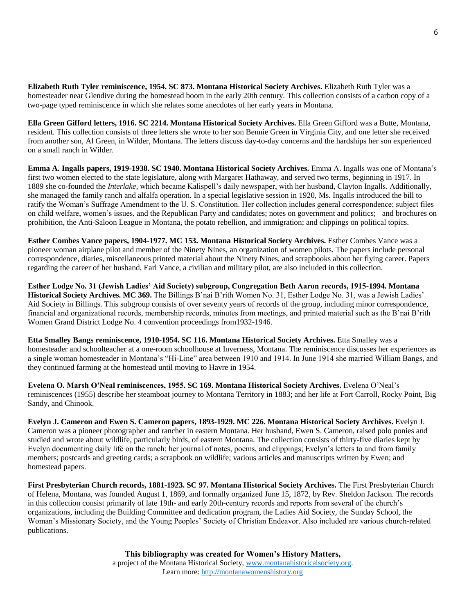**Elizabeth Ruth Tyler reminiscence, 1954. SC 873. Montana Historical Society Archives.** Elizabeth Ruth Tyler was a homesteader near Glendive during the homestead boom in the early 20th century. This collection consists of a carbon copy of a two-page typed reminiscence in which she relates some anecdotes of her early years in Montana.

**Ella Green Gifford letters, 1916. SC 2214. Montana Historical Society Archives.** Ella Green Gifford was a Butte, Montana, resident. This collection consists of three letters she wrote to her son Bennie Green in Virginia City, and one letter she received from another son, Al Green, in Wilder, Montana. The letters discuss day-to-day concerns and the hardships her son experienced on a small ranch in Wilder.

**Emma A. Ingalls papers, 1919-1938. SC 1940. Montana Historical Society Archives.** Emma A. Ingalls was one of Montana's first two women elected to the state legislature, along with Margaret Hathaway, and served two terms, beginning in 1917. In 1889 she co-founded the *Interlake,* which became Kalispell's daily newspaper, with her husband, Clayton Ingalls. Additionally, she managed the family ranch and alfalfa operation. In a special legislative session in 1920, Ms. Ingalls introduced the bill to ratify the Woman's Suffrage Amendment to the U. S. Constitution. Her collection includes general correspondence; subject files on child welfare, women's issues, and the Republican Party and candidates; notes on government and politics; and brochures on prohibition, the Anti-Saloon League in Montana, the potato rebellion, and immigration; and clippings on political topics.

**Esther Combes Vance papers, 1904-1977. MC 153. Montana Historical Society Archives.** Esther Combes Vance was a pioneer woman airplane pilot and member of the Ninety Nines, an organization of women pilots. The papers include personal correspondence, diaries, miscellaneous printed material about the Ninety Nines, and scrapbooks about her flying career. Papers regarding the career of her husband, Earl Vance, a civilian and military pilot, are also included in this collection.

**Esther Lodge No. 31 (Jewish Ladies' Aid Society) subgroup, Congregation Beth Aaron records, 1915-1994. Montana Historical Society Archives. MC 369.** The Billings B'nai B'rith Women No. 31, Esther Lodge No. 31, was a Jewish Ladies' Aid Society in Billings. This subgroup consists of over seventy years of records of the group, including minor correspondence, financial and organizational records, membership records, minutes from meetings, and printed material such as the B'nai B'rith Women Grand District Lodge No. 4 convention proceedings from1932-1946.

**Etta Smalley Bangs reminiscence, 1910-1954. SC 116. Montana Historical Society Archives.** Etta Smalley was a homesteader and schoolteacher at a one-room schoolhouse at Inverness, Montana. The reminiscence discusses her experiences as a single woman homesteader in Montana's "Hi-Line" area between 1910 and 1914. In June 1914 she married William Bangs, and they continued farming at the homestead until moving to Havre in 1954.

**Evelena O. Marsh O'Neal reminiscences, 1955. SC 169. Montana Historical Society Archives.** Evelena O'Neal's reminiscences (1955) describe her steamboat journey to Montana Territory in 1883; and her life at Fort Carroll, Rocky Point, Big Sandy, and Chinook.

**Evelyn J. Cameron and Ewen S. Cameron papers, 1893-1929. MC 226. Montana Historical Society Archives.** Evelyn J. Cameron was a pioneer photographer and rancher in eastern Montana. Her husband, Ewen S. Cameron, raised polo ponies and studied and wrote about wildlife, particularly birds, of eastern Montana. The collection consists of thirty-five diaries kept by Evelyn documenting daily life on the ranch; her journal of notes, poems, and clippings; Evelyn's letters to and from family members; postcards and greeting cards; a scrapbook on wildlife; various articles and manuscripts written by Ewen; and homestead papers.

**First Presbyterian Church records, 1881-1923. SC 97. Montana Historical Society Archives.** The First Presbyterian Church of Helena, Montana, was founded August 1, 1869, and formally organized June 15, 1872, by Rev. Sheldon Jackson. The records in this collection consist primarily of late 19th- and early 20th-century records and reports from several of the church's organizations, including the Building Committee and dedication program, the Ladies Aid Society, the Sunday School, the Woman's Missionary Society, and the Young Peoples' Society of Christian Endeavor. Also included are various church-related publications.

> **This bibliography was created for Women's History Matters,** a project of the Montana Historical Society, [www.montanahistoricalsociety.org.](www.montanahistoricalsociety.org) Learn more: [http://montanawomenshistory.org](http://montanawomenshistory.org/)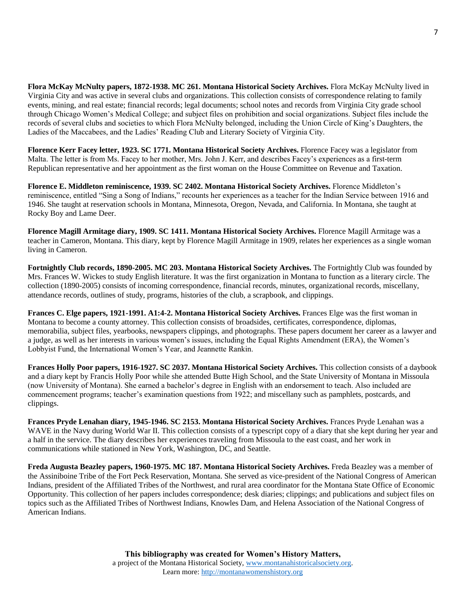**Flora McKay McNulty papers, 1872-1938. MC 261. Montana Historical Society Archives.** Flora McKay McNulty lived in Virginia City and was active in several clubs and organizations. This collection consists of correspondence relating to family events, mining, and real estate; financial records; legal documents; school notes and records from Virginia City grade school through Chicago Women's Medical College; and subject files on prohibition and social organizations. Subject files include the records of several clubs and societies to which Flora McNulty belonged, including the Union Circle of King's Daughters, the Ladies of the Maccabees, and the Ladies' Reading Club and Literary Society of Virginia City.

**Florence Kerr Facey letter, 1923. SC 1771. Montana Historical Society Archives.** Florence Facey was a legislator from Malta. The letter is from Ms. Facey to her mother, Mrs. John J. Kerr, and describes Facey's experiences as a first-term Republican representative and her appointment as the first woman on the House Committee on Revenue and Taxation.

**Florence E. Middleton reminiscence, 1939. SC 2402. Montana Historical Society Archives.** Florence Middleton's reminiscence, entitled "Sing a Song of Indians," recounts her experiences as a teacher for the Indian Service between 1916 and 1946. She taught at reservation schools in Montana, Minnesota, Oregon, Nevada, and California. In Montana, she taught at Rocky Boy and Lame Deer.

**Florence Magill Armitage diary, 1909. SC 1411. Montana Historical Society Archives.** Florence Magill Armitage was a teacher in Cameron, Montana. This diary, kept by Florence Magill Armitage in 1909, relates her experiences as a single woman living in Cameron.

**Fortnightly Club records, 1890-2005. MC 203. Montana Historical Society Archives.** The Fortnightly Club was founded by Mrs. Frances W. Wickes to study English literature. It was the first organization in Montana to function as a literary circle. The collection (1890-2005) consists of incoming correspondence, financial records, minutes, organizational records, miscellany, attendance records, outlines of study, programs, histories of the club, a scrapbook, and clippings.

**Frances C. Elge papers, 1921-1991. A1:4-2. Montana Historical Society Archives.** Frances Elge was the first woman in Montana to become a county attorney. This collection consists of broadsides, certificates, correspondence, diplomas, memorabilia, subject files, yearbooks, newspapers clippings, and photographs. These papers document her career as a lawyer and a judge, as well as her interests in various women's issues, including the Equal Rights Amendment (ERA), the Women's Lobbyist Fund, the International Women's Year, and Jeannette Rankin.

**Frances Holly Poor papers, 1916-1927. SC 2037. Montana Historical Society Archives.** This collection consists of a daybook and a diary kept by Francis Holly Poor while she attended Butte High School, and the State University of Montana in Missoula (now University of Montana). She earned a bachelor's degree in English with an endorsement to teach. Also included are commencement programs; teacher's examination questions from 1922; and miscellany such as pamphlets, postcards, and clippings.

**Frances Pryde Lenahan diary, 1945-1946. SC 2153. Montana Historical Society Archives.** Frances Pryde Lenahan was a WAVE in the Navy during World War II. This collection consists of a typescript copy of a diary that she kept during her year and a half in the service. The diary describes her experiences traveling from Missoula to the east coast, and her work in communications while stationed in New York, Washington, DC, and Seattle.

**Freda Augusta Beazley papers, 1960-1975. MC 187. Montana Historical Society Archives.** Freda Beazley was a member of the Assiniboine Tribe of the Fort Peck Reservation, Montana. She served as vice-president of the National Congress of American Indians, president of the Affiliated Tribes of the Northwest, and rural area coordinator for the Montana State Office of Economic Opportunity. This collection of her papers includes correspondence; desk diaries; clippings; and publications and subject files on topics such as the Affiliated Tribes of Northwest Indians, Knowles Dam, and Helena Association of the National Congress of American Indians.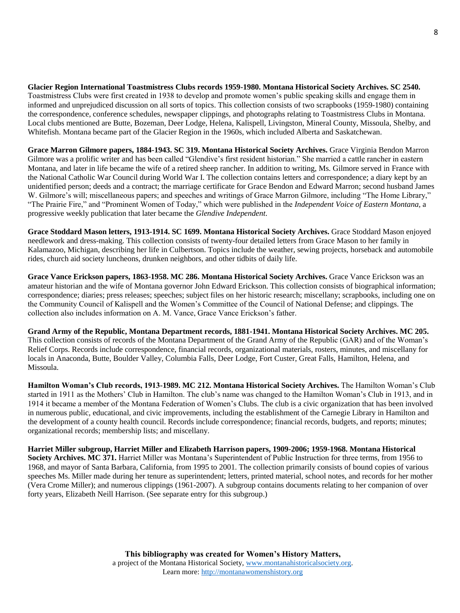**Glacier Region International Toastmistress Clubs records 1959-1980. Montana Historical Society Archives. SC 2540.** Toastmistress Clubs were first created in 1938 to develop and promote women's public speaking skills and engage them in informed and unprejudiced discussion on all sorts of topics. This collection consists of two scrapbooks (1959-1980) containing the correspondence, conference schedules, newspaper clippings, and photographs relating to Toastmistress Clubs in Montana. Local clubs mentioned are Butte, Bozeman, Deer Lodge, Helena, Kalispell, Livingston, Mineral County, Missoula, Shelby, and Whitefish. Montana became part of the Glacier Region in the 1960s, which included Alberta and Saskatchewan.

**Grace Marron Gilmore papers, 1884-1943. SC 319. Montana Historical Society Archives.** Grace Virginia Bendon Marron Gilmore was a prolific writer and has been called "Glendive's first resident historian." She married a cattle rancher in eastern Montana, and later in life became the wife of a retired sheep rancher. In addition to writing, Ms. Gilmore served in France with the National Catholic War Council during World War I. The collection contains letters and correspondence; a diary kept by an unidentified person; deeds and a contract; the marriage certificate for Grace Bendon and Edward Marron; second husband James W. Gilmore's will; miscellaneous papers; and speeches and writings of Grace Marron Gilmore, including "The Home Library," "The Prairie Fire," and "Prominent Women of Today," which were published in the *Independent Voice of Eastern Montana,* a progressive weekly publication that later became the *Glendive Independent*.

**Grace Stoddard Mason letters, 1913-1914. SC 1699. Montana Historical Society Archives.** Grace Stoddard Mason enjoyed needlework and dress-making. This collection consists of twenty-four detailed letters from Grace Mason to her family in Kalamazoo, Michigan, describing her life in Culbertson. Topics include the weather, sewing projects, horseback and automobile rides, church aid society luncheons, drunken neighbors, and other tidbits of daily life.

**Grace Vance Erickson papers, 1863-1958. MC 286. Montana Historical Society Archives.** Grace Vance Erickson was an amateur historian and the wife of Montana governor John Edward Erickson. This collection consists of biographical information; correspondence; diaries; press releases; speeches; subject files on her historic research; miscellany; scrapbooks, including one on the Community Council of Kalispell and the Women's Committee of the Council of National Defense; and clippings. The collection also includes information on A. M. Vance, Grace Vance Erickson's father.

**Grand Army of the Republic, Montana Department records, 1881-1941. Montana Historical Society Archives. MC 205.** This collection consists of records of the Montana Department of the Grand Army of the Republic (GAR) and of the Woman's Relief Corps. Records include correspondence, financial records, organizational materials, rosters, minutes, and miscellany for locals in Anaconda, Butte, Boulder Valley, Columbia Falls, Deer Lodge, Fort Custer, Great Falls, Hamilton, Helena, and Missoula.

**Hamilton Woman's Club records, 1913-1989. MC 212. Montana Historical Society Archives.** The Hamilton Woman's Club started in 1911 as the Mothers' Club in Hamilton. The club's name was changed to the Hamilton Woman's Club in 1913, and in 1914 it became a member of the Montana Federation of Women's Clubs. The club is a civic organization that has been involved in numerous public, educational, and civic improvements, including the establishment of the Carnegie Library in Hamilton and the development of a county health council. Records include correspondence; financial records, budgets, and reports; minutes; organizational records; membership lists; and miscellany.

**Harriet Miller subgroup, Harriet Miller and Elizabeth Harrison papers, 1909-2006; 1959-1968. Montana Historical Society Archives. MC 371.** Harriet Miller was Montana's Superintendent of Public Instruction for three terms, from 1956 to 1968, and mayor of Santa Barbara, California, from 1995 to 2001. The collection primarily consists of bound copies of various speeches Ms. Miller made during her tenure as superintendent; letters, printed material, school notes, and records for her mother (Vera Crome Miller); and numerous clippings (1961-2007). A subgroup contains documents relating to her companion of over forty years, Elizabeth Neill Harrison. (See separate entry for this subgroup.)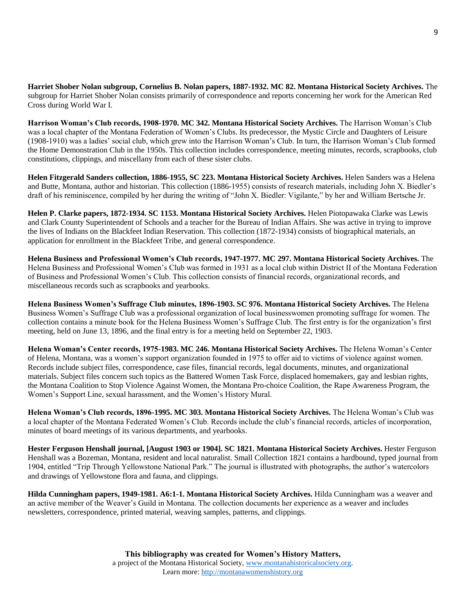**Harriet Shober Nolan subgroup, Cornelius B. Nolan papers, 1887-1932. MC 82. Montana Historical Society Archives.** The subgroup for Harriet Shober Nolan consists primarily of correspondence and reports concerning her work for the American Red Cross during World War I.

**Harrison Woman's Club records, 1908-1970. MC 342. Montana Historical Society Archives.** The Harrison Woman's Club was a local chapter of the Montana Federation of Women's Clubs. Its predecessor, the Mystic Circle and Daughters of Leisure (1908-1910) was a ladies' social club, which grew into the Harrison Woman's Club. In turn, the Harrison Woman's Club formed the Home Demonstration Club in the 1950s. This collection includes correspondence, meeting minutes, records, scrapbooks, club constitutions, clippings, and miscellany from each of these sister clubs.

**Helen Fitzgerald Sanders collection, 1886-1955, SC 223. Montana Historical Society Archives.** Helen Sanders was a Helena and Butte, Montana, author and historian. This collection (1886-1955) consists of research materials, including John X. Biedler's draft of his reminiscence, compiled by her during the writing of "John X. Biedler: Vigilante," by her and William Bertsche Jr.

**Helen P. Clarke papers, 1872-1934. SC 1153. Montana Historical Society Archives.** Helen Piotopawaka Clarke was Lewis and Clark County Superintendent of Schools and a teacher for the Bureau of Indian Affairs. She was active in trying to improve the lives of Indians on the Blackfeet Indian Reservation. This collection (1872-1934) consists of biographical materials, an application for enrollment in the Blackfeet Tribe, and general correspondence.

**Helena Business and Professional Women's Club records, 1947-1977. MC 297. Montana Historical Society Archives.** The Helena Business and Professional Women's Club was formed in 1931 as a local club within District II of the Montana Federation of Business and Professional Women's Club. This collection consists of financial records, organizational records, and miscellaneous records such as scrapbooks and yearbooks.

**Helena Business Women's Suffrage Club minutes, 1896-1903. SC 976. Montana Historical Society Archives.** The Helena Business Women's Suffrage Club was a professional organization of local businesswomen promoting suffrage for women. The collection contains a minute book for the Helena Business Women's Suffrage Club. The first entry is for the organization's first meeting, held on June 13, 1896, and the final entry is for a meeting held on September 22, 1903.

**Helena Woman's Center records, 1975-1983. MC 246. Montana Historical Society Archives.** The Helena Woman's Center of Helena, Montana, was a women's support organization founded in 1975 to offer aid to victims of violence against women. Records include subject files, correspondence, case files, financial records, legal documents, minutes, and organizational materials. Subject files concern such topics as the Battered Women Task Force, displaced homemakers, gay and lesbian rights, the Montana Coalition to Stop Violence Against Women, the Montana Pro-choice Coalition, the Rape Awareness Program, the Women's Support Line, sexual harassment, and the Women's History Mural.

**Helena Woman's Club records, 1896-1995. MC 303. Montana Historical Society Archives.** The Helena Woman's Club was a local chapter of the Montana Federated Women's Club. Records include the club's financial records, articles of incorporation, minutes of board meetings of its various departments, and yearbooks.

**Hester Ferguson Henshall journal, [August 1903 or 1904]. SC 1821. Montana Historical Society Archives.** Hester Ferguson Henshall was a Bozeman, Montana, resident and local naturalist. Small Collection 1821 contains a hardbound, typed journal from 1904, entitled "Trip Through Yellowstone National Park." The journal is illustrated with photographs, the author's watercolors and drawings of Yellowstone flora and fauna, and clippings.

**Hilda Cunningham papers, 1949-1981. A6:1-1. Montana Historical Society Archives.** Hilda Cunningham was a weaver and an active member of the Weaver's Guild in Montana. The collection documents her experience as a weaver and includes newsletters, correspondence, printed material, weaving samples, patterns, and clippings.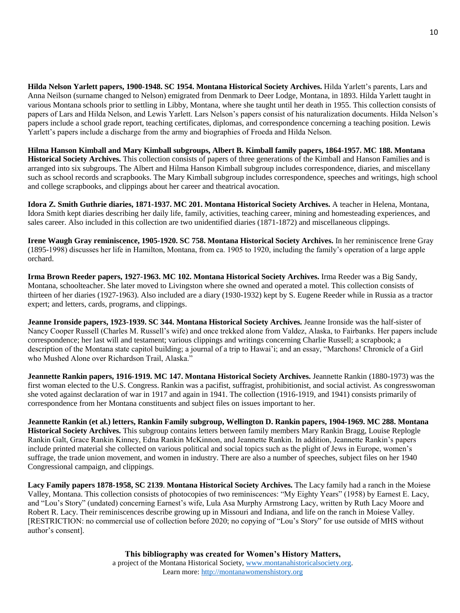**Hilda Nelson Yarlett papers, 1900-1948. SC 1954. Montana Historical Society Archives.** Hilda Yarlett's parents, Lars and Anna Neilson (surname changed to Nelson) emigrated from Denmark to Deer Lodge, Montana, in 1893. Hilda Yarlett taught in various Montana schools prior to settling in Libby, Montana, where she taught until her death in 1955. This collection consists of papers of Lars and Hilda Nelson, and Lewis Yarlett. Lars Nelson's papers consist of his naturalization documents. Hilda Nelson's papers include a school grade report, teaching certificates, diplomas, and correspondence concerning a teaching position. Lewis Yarlett's papers include a discharge from the army and biographies of Froeda and Hilda Nelson.

**Hilma Hanson Kimball and Mary Kimball subgroups, Albert B. Kimball family papers, 1864-1957. MC 188. Montana Historical Society Archives.** This collection consists of papers of three generations of the Kimball and Hanson Families and is arranged into six subgroups. The Albert and Hilma Hanson Kimball subgroup includes correspondence, diaries, and miscellany such as school records and scrapbooks. The Mary Kimball subgroup includes correspondence, speeches and writings, high school and college scrapbooks, and clippings about her career and theatrical avocation.

**Idora Z. Smith Guthrie diaries, 1871-1937. MC 201. Montana Historical Society Archives.** A teacher in Helena, Montana, Idora Smith kept diaries describing her daily life, family, activities, teaching career, mining and homesteading experiences, and sales career. Also included in this collection are two unidentified diaries (1871-1872) and miscellaneous clippings.

**Irene Waugh Gray reminiscence, 1905-1920. SC 758. Montana Historical Society Archives.** In her reminiscence Irene Gray (1895-1998) discusses her life in Hamilton, Montana, from ca. 1905 to 1920, including the family's operation of a large apple orchard.

**Irma Brown Reeder papers, 1927-1963. MC 102. Montana Historical Society Archives.** Irma Reeder was a Big Sandy, Montana, schoolteacher. She later moved to Livingston where she owned and operated a motel. This collection consists of thirteen of her diaries (1927-1963). Also included are a diary (1930-1932) kept by S. Eugene Reeder while in Russia as a tractor expert; and letters, cards, programs, and clippings.

**Jeanne Ironside papers, 1923-1939. SC 344. Montana Historical Society Archives.** Jeanne Ironside was the half-sister of Nancy Cooper Russell (Charles M. Russell's wife) and once trekked alone from Valdez, Alaska, to Fairbanks. Her papers include correspondence; her last will and testament; various clippings and writings concerning Charlie Russell; a scrapbook; a description of the Montana state capitol building; a journal of a trip to Hawai'i; and an essay, "Marchons! Chronicle of a Girl who Mushed Alone over Richardson Trail, Alaska."

**Jeannette Rankin papers, 1916-1919. MC 147. Montana Historical Society Archives.** Jeannette Rankin (1880-1973) was the first woman elected to the U.S. Congress. Rankin was a pacifist, suffragist, prohibitionist, and social activist. As congresswoman she voted against declaration of war in 1917 and again in 1941. The collection (1916-1919, and 1941) consists primarily of correspondence from her Montana constituents and subject files on issues important to her.

**Jeannette Rankin (et al.) letters, Rankin Family subgroup, Wellington D. Rankin papers, 1904-1969. MC 288. Montana Historical Society Archives.** This subgroup contains letters between family members Mary Rankin Bragg, Louise Replogle Rankin Galt, Grace Rankin Kinney, Edna Rankin McKinnon, and Jeannette Rankin. In addition, Jeannette Rankin's papers include printed material she collected on various political and social topics such as the plight of Jews in Europe, women's suffrage, the trade union movement, and women in industry. There are also a number of speeches, subject files on her 1940 Congressional campaign, and clippings.

**Lacy Family papers 1878-1958, SC 2139**. **Montana Historical Society Archives.** The Lacy family had a ranch in the Moiese Valley, Montana. This collection consists of photocopies of two reminiscences: "My Eighty Years" (1958) by Earnest E. Lacy, and "Lou's Story" (undated) concerning Earnest's wife, Lula Asa Murphy Armstrong Lacy, written by Ruth Lacy Moore and Robert R. Lacy. Their reminiscences describe growing up in Missouri and Indiana, and life on the ranch in Moiese Valley. [RESTRICTION: no commercial use of collection before 2020; no copying of "Lou's Story" for use outside of MHS without author's consent].

> **This bibliography was created for Women's History Matters,** a project of the Montana Historical Society, [www.montanahistoricalsociety.org.](www.montanahistoricalsociety.org) Learn more: [http://montanawomenshistory.org](http://montanawomenshistory.org/)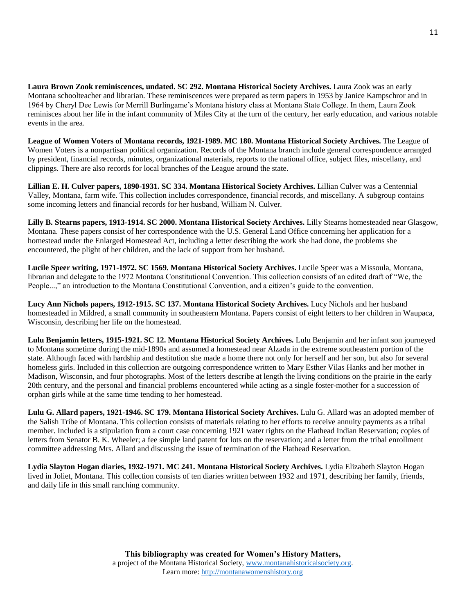**Laura Brown Zook reminiscences, undated. SC 292. Montana Historical Society Archives.** Laura Zook was an early Montana schoolteacher and librarian. These reminiscences were prepared as term papers in 1953 by Janice Kampschror and in 1964 by Cheryl Dee Lewis for Merrill Burlingame's Montana history class at Montana State College. In them, Laura Zook reminisces about her life in the infant community of Miles City at the turn of the century, her early education, and various notable events in the area.

**League of Women Voters of Montana records, 1921-1989. MC 180. Montana Historical Society Archives.** The League of Women Voters is a nonpartisan political organization. Records of the Montana branch include general correspondence arranged by president, financial records, minutes, organizational materials, reports to the national office, subject files, miscellany, and clippings. There are also records for local branches of the League around the state.

**Lillian E. H. Culver papers, 1890-1931. SC 334. Montana Historical Society Archives.** Lillian Culver was a Centennial Valley, Montana, farm wife. This collection includes correspondence, financial records, and miscellany. A subgroup contains some incoming letters and financial records for her husband, William N. Culver.

**Lilly B. Stearns papers, 1913-1914. SC 2000. Montana Historical Society Archives.** Lilly Stearns homesteaded near Glasgow, Montana. These papers consist of her correspondence with the U.S. General Land Office concerning her application for a homestead under the Enlarged Homestead Act, including a letter describing the work she had done, the problems she encountered, the plight of her children, and the lack of support from her husband.

**Lucile Speer writing, 1971-1972. SC 1569. Montana Historical Society Archives.** Lucile Speer was a Missoula, Montana, librarian and delegate to the 1972 Montana Constitutional Convention. This collection consists of an edited draft of "We, the People...," an introduction to the Montana Constitutional Convention, and a citizen's guide to the convention.

**Lucy Ann Nichols papers, 1912-1915. SC 137. Montana Historical Society Archives.** Lucy Nichols and her husband homesteaded in Mildred, a small community in southeastern Montana. Papers consist of eight letters to her children in Waupaca, Wisconsin, describing her life on the homestead.

**Lulu Benjamin letters, 1915-1921. SC 12. Montana Historical Society Archives.** Lulu Benjamin and her infant son journeyed to Montana sometime during the mid-1890s and assumed a homestead near Alzada in the extreme southeastern portion of the state. Although faced with hardship and destitution she made a home there not only for herself and her son, but also for several homeless girls. Included in this collection are outgoing correspondence written to Mary Esther Vilas Hanks and her mother in Madison, Wisconsin, and four photographs. Most of the letters describe at length the living conditions on the prairie in the early 20th century, and the personal and financial problems encountered while acting as a single foster-mother for a succession of orphan girls while at the same time tending to her homestead.

**Lulu G. Allard papers, 1921-1946. SC 179. Montana Historical Society Archives.** Lulu G. Allard was an adopted member of the Salish Tribe of Montana. This collection consists of materials relating to her efforts to receive annuity payments as a tribal member. Included is a stipulation from a court case concerning 1921 water rights on the Flathead Indian Reservation; copies of letters from Senator B. K. Wheeler; a fee simple land patent for lots on the reservation; and a letter from the tribal enrollment committee addressing Mrs. Allard and discussing the issue of termination of the Flathead Reservation.

**Lydia Slayton Hogan diaries, 1932-1971. MC 241. Montana Historical Society Archives.** Lydia Elizabeth Slayton Hogan lived in Joliet, Montana. This collection consists of ten diaries written between 1932 and 1971, describing her family, friends, and daily life in this small ranching community.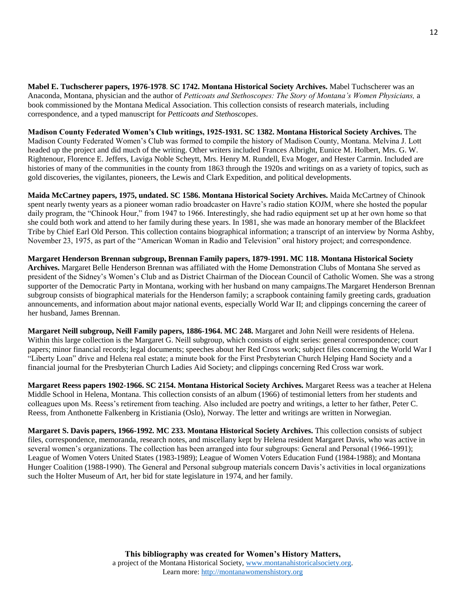**Mabel E. Tuchscherer papers, 1976-1978**. **SC 1742. Montana Historical Society Archives.** Mabel Tuchscherer was an Anaconda, Montana, physician and the author of *Petticoats and Stethoscopes: The Story of Montana's Women Physicians,* a book commissioned by the Montana Medical Association. This collection consists of research materials, including correspondence, and a typed manuscript for *Petticoats and Stethoscopes*.

**Madison County Federated Women's Club writings, 1925-1931. SC 1382. Montana Historical Society Archives.** The Madison County Federated Women's Club was formed to compile the history of Madison County, Montana. Melvina J. Lott headed up the project and did much of the writing. Other writers included Frances Albright, Eunice M. Holbert, Mrs. G. W. Rightenour, Florence E. Jeffers, Laviga Noble Scheytt, Mrs. Henry M. Rundell, Eva Moger, and Hester Carmin. Included are histories of many of the communities in the county from 1863 through the 1920s and writings on as a variety of topics, such as gold discoveries, the vigilantes, pioneers, the Lewis and Clark Expedition, and political developments.

**Maida McCartney papers, 1975, undated. SC 1586. Montana Historical Society Archives.** Maida McCartney of Chinook spent nearly twenty years as a pioneer woman radio broadcaster on Havre's radio station KOJM, where she hosted the popular daily program, the "Chinook Hour," from 1947 to 1966. Interestingly, she had radio equipment set up at her own home so that she could both work and attend to her family during these years. In 1981, she was made an honorary member of the Blackfeet Tribe by Chief Earl Old Person. This collection contains biographical information; a transcript of an interview by Norma Ashby, November 23, 1975, as part of the "American Woman in Radio and Television" oral history project; and correspondence.

**Margaret Henderson Brennan subgroup, Brennan Family papers, 1879-1991. MC 118. Montana Historical Society Archives.** Margaret Belle Henderson Brennan was affiliated with the Home Demonstration Clubs of Montana She served as president of the Sidney's Women's Club and as District Chairman of the Diocean Council of Catholic Women. She was a strong supporter of the Democratic Party in Montana, working with her husband on many campaigns.The Margaret Henderson Brennan subgroup consists of biographical materials for the Henderson family; a scrapbook containing family greeting cards, graduation announcements, and information about major national events, especially World War II; and clippings concerning the career of her husband, James Brennan.

**Margaret Neill subgroup, Neill Family papers, 1886-1964. MC 248.** Margaret and John Neill were residents of Helena. Within this large collection is the Margaret G. Neill subgroup, which consists of eight series: general correspondence; court papers; minor financial records; legal documents; speeches about her Red Cross work; subject files concerning the World War I "Liberty Loan" drive and Helena real estate; a minute book for the First Presbyterian Church Helping Hand Society and a financial journal for the Presbyterian Church Ladies Aid Society; and clippings concerning Red Cross war work.

**Margaret Reess papers 1902-1966. SC 2154. Montana Historical Society Archives.** Margaret Reess was a teacher at Helena Middle School in Helena, Montana. This collection consists of an album (1966) of testimonial letters from her students and colleagues upon Ms. Reess's retirement from teaching. Also included are poetry and writings, a letter to her father, Peter C. Reess, from Anthonette Falkenberg in Kristiania (Oslo), Norway. The letter and writings are written in Norwegian.

**Margaret S. Davis papers, 1966-1992. MC 233. Montana Historical Society Archives.** This collection consists of subject files, correspondence, memoranda, research notes, and miscellany kept by Helena resident Margaret Davis, who was active in several women's organizations. The collection has been arranged into four subgroups: General and Personal (1966-1991); League of Women Voters United States (1983-1989); League of Women Voters Education Fund (1984-1988); and Montana Hunger Coalition (1988-1990). The General and Personal subgroup materials concern Davis's activities in local organizations such the Holter Museum of Art, her bid for state legislature in 1974, and her family.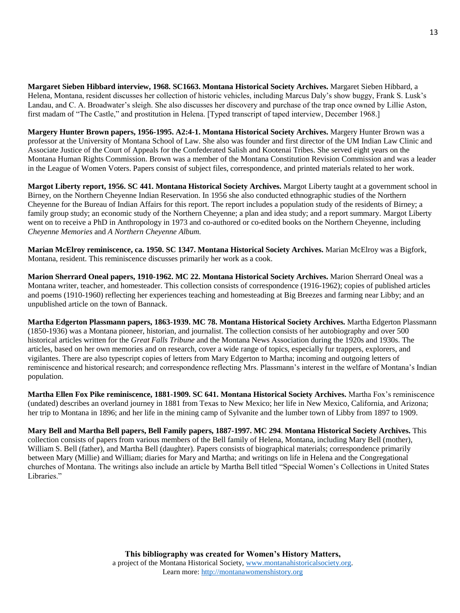**Margaret Sieben Hibbard interview, 1968. SC1663. Montana Historical Society Archives.** Margaret Sieben Hibbard, a Helena, Montana, resident discusses her collection of historic vehicles, including Marcus Daly's show buggy, Frank S. Lusk's Landau, and C. A. Broadwater's sleigh. She also discusses her discovery and purchase of the trap once owned by Lillie Aston, first madam of "The Castle," and prostitution in Helena. [Typed transcript of taped interview, December 1968.]

**Margery Hunter Brown papers, 1956-1995. A2:4-1. Montana Historical Society Archives.** Margery Hunter Brown was a professor at the University of Montana School of Law. She also was founder and first director of the UM Indian Law Clinic and Associate Justice of the Court of Appeals for the Confederated Salish and Kootenai Tribes. She served eight years on the Montana Human Rights Commission. Brown was a member of the Montana Constitution Revision Commission and was a leader in the League of Women Voters. Papers consist of subject files, correspondence, and printed materials related to her work.

**Margot Liberty report, 1956. SC 441. Montana Historical Society Archives.** Margot Liberty taught at a government school in Birney, on the Northern Cheyenne Indian Reservation. In 1956 she also conducted ethnographic studies of the Northern Cheyenne for the Bureau of Indian Affairs for this report. The report includes a population study of the residents of Birney; a family group study; an economic study of the Northern Cheyenne; a plan and idea study; and a report summary. Margot Liberty went on to receive a PhD in Anthropology in 1973 and co-authored or co-edited books on the Northern Cheyenne, including *Cheyenne Memories* and *A Northern Cheyenne Album.*

**Marian McElroy reminiscence, ca. 1950. SC 1347. Montana Historical Society Archives.** Marian McElroy was a Bigfork, Montana, resident. This reminiscence discusses primarily her work as a cook.

**Marion Sherrard Oneal papers, 1910-1962. MC 22. Montana Historical Society Archives.** Marion Sherrard Oneal was a Montana writer, teacher, and homesteader. This collection consists of correspondence (1916-1962); copies of published articles and poems (1910-1960) reflecting her experiences teaching and homesteading at Big Breezes and farming near Libby; and an unpublished article on the town of Bannack.

**Martha Edgerton Plassmann papers, 1863-1939. MC 78. Montana Historical Society Archives.** Martha Edgerton Plassmann (1850-1936) was a Montana pioneer, historian, and journalist. The collection consists of her autobiography and over 500 historical articles written for the *Great Falls Tribune* and the Montana News Association during the 1920s and 1930s. The articles, based on her own memories and on research, cover a wide range of topics, especially fur trappers, explorers, and vigilantes. There are also typescript copies of letters from Mary Edgerton to Martha; incoming and outgoing letters of reminiscence and historical research; and correspondence reflecting Mrs. Plassmann's interest in the welfare of Montana's Indian population.

**Martha Ellen Fox Pike reminiscence, 1881-1909. SC 641. Montana Historical Society Archives.** Martha Fox's reminiscence (undated) describes an overland journey in 1881 from Texas to New Mexico; her life in New Mexico, California, and Arizona; her trip to Montana in 1896; and her life in the mining camp of Sylvanite and the lumber town of Libby from 1897 to 1909.

**Mary Bell and Martha Bell papers, Bell Family papers, 1887-1997. MC 294**. **Montana Historical Society Archives.** This collection consists of papers from various members of the Bell family of Helena, Montana, including Mary Bell (mother), William S. Bell (father), and Martha Bell (daughter). Papers consists of biographical materials; correspondence primarily between Mary (Millie) and William; diaries for Mary and Martha; and writings on life in Helena and the Congregational churches of Montana. The writings also include an article by Martha Bell titled "Special Women's Collections in United States Libraries."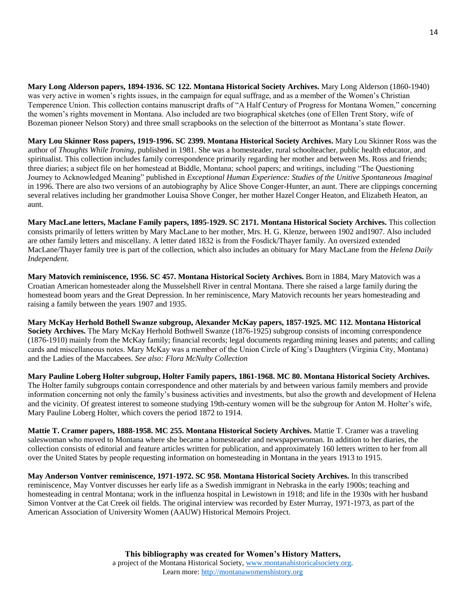**Mary Long Alderson papers, 1894-1936. SC 122. Montana Historical Society Archives.** Mary Long Alderson (1860-1940) was very active in women's rights issues, in the campaign for equal suffrage, and as a member of the Women's Christian Temperence Union. This collection contains manuscript drafts of "A Half Century of Progress for Montana Women," concerning the women's rights movement in Montana. Also included are two biographical sketches (one of Ellen Trent Story, wife of Bozeman pioneer Nelson Story) and three small scrapbooks on the selection of the bitterroot as Montana's state flower.

**Mary Lou Skinner Ross papers, 1919-1996. SC 2399. Montana Historical Society Archives.** Mary Lou Skinner Ross was the author of *Thoughts While Ironing,* published in 1981. She was a homesteader, rural schoolteacher, public health educator, and spiritualist. This collection includes family correspondence primarily regarding her mother and between Ms. Ross and friends; three diaries; a subject file on her homestead at Biddle, Montana; school papers; and writings, including "The Questioning Journey to Acknowledged Meaning" published in *Exceptional Human Experience: Studies of the Unitive Spontaneous Imaginal*  in 1996. There are also two versions of an autobiography by Alice Shove Conger-Hunter, an aunt. There are clippings concerning several relatives including her grandmother Louisa Shove Conger, her mother Hazel Conger Heaton, and Elizabeth Heaton, an aunt.

**Mary MacLane letters, Maclane Family papers, 1895-1929. SC 2171. Montana Historical Society Archives.** This collection consists primarily of letters written by Mary MacLane to her mother, Mrs. H. G. Klenze, between 1902 and1907. Also included are other family letters and miscellany. A letter dated 1832 is from the Fosdick/Thayer family. An oversized extended MacLane/Thayer family tree is part of the collection, which also includes an obituary for Mary MacLane from the *Helena Daily Independent.*

**Mary Matovich reminiscence, 1956. SC 457. Montana Historical Society Archives.** Born in 1884, Mary Matovich was a Croatian American homesteader along the Musselshell River in central Montana. There she raised a large family during the homestead boom years and the Great Depression. In her reminiscence, Mary Matovich recounts her years homesteading and raising a family between the years 1907 and 1935.

**Mary McKay Herhold Bothell Swanze subgroup, Alexander McKay papers, 1857-1925. MC 112. Montana Historical Society Archives.** The Mary McKay Herhold Bothwell Swanze (1876-1925) subgroup consists of incoming correspondence (1876-1910) mainly from the McKay family; financial records; legal documents regarding mining leases and patents; and calling cards and miscellaneous notes. Mary McKay was a member of the Union Circle of King's Daughters (Virginia City, Montana) and the Ladies of the Maccabees. *See also: Flora McNulty Collection* 

**Mary Pauline Loberg Holter subgroup, Holter Family papers, 1861-1968. MC 80. Montana Historical Society Archives.** The Holter family subgroups contain correspondence and other materials by and between various family members and provide information concerning not only the family's business activities and investments, but also the growth and development of Helena and the vicinity. Of greatest interest to someone studying 19th-century women will be the subgroup for Anton M. Holter's wife, Mary Pauline Loberg Holter, which covers the period 1872 to 1914.

**Mattie T. Cramer papers, 1888-1958. MC 255. Montana Historical Society Archives.** Mattie T. Cramer was a traveling saleswoman who moved to Montana where she became a homesteader and newspaperwoman. In addition to her diaries, the collection consists of editorial and feature articles written for publication, and approximately 160 letters written to her from all over the United States by people requesting information on homesteading in Montana in the years 1913 to 1915.

**May Anderson Vontver reminiscence, 1971-1972. SC 958. Montana Historical Society Archives.** In this transcribed reminiscence, May Vontver discusses her early life as a Swedish immigrant in Nebraska in the early 1900s; teaching and homesteading in central Montana; work in the influenza hospital in Lewistown in 1918; and life in the 1930s with her husband Simon Vontver at the Cat Creek oil fields. The original interview was recorded by Ester Murray, 1971-1973, as part of the American Association of University Women (AAUW) Historical Memoirs Project.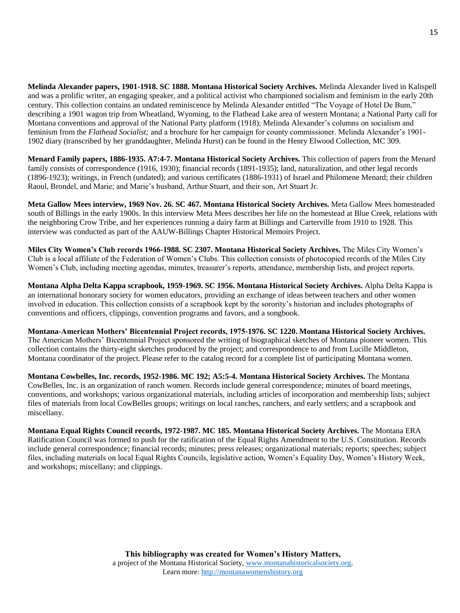**Melinda Alexander papers, 1901-1918. SC 1888. Montana Historical Society Archives.** Melinda Alexander lived in Kalispell and was a prolific writer, an engaging speaker, and a political activist who championed socialism and feminism in the early 20th century. This collection contains an undated reminiscence by Melinda Alexander entitled "The Voyage of Hotel De Bum," describing a 1901 wagon trip from Wheatland, Wyoming, to the Flathead Lake area of western Montana; a National Party call for Montana conventions and approval of the National Party platform (1918); Melinda Alexander's columns on socialism and feminism from the *Flathead Socialist;* and a brochure for her campaign for county commissioner. Melinda Alexander's 1901- 1902 diary (transcribed by her granddaughter, Melinda Hurst) can be found in the Henry Elwood Collection, MC 309.

**Menard Family papers, 1886-1935. A7:4-7. Montana Historical Society Archives.** This collection of papers from the Menard family consists of correspondence (1916, 1930); financial records (1891-1935); land, naturalization, and other legal records (1896-1923); writings, in French (undated); and various certificates (1886-1931) of Israel and Philomene Menard; their children Raoul, Brondel, and Marie; and Marie's husband, Arthur Stuart, and their son, Art Stuart Jr.

**Meta Gallow Mees interview, 1969 Nov. 26. SC 467. Montana Historical Society Archives.** Meta Gallow Mees homesteaded south of Billings in the early 1900s. In this interview Meta Mees describes her life on the homestead at Blue Creek, relations with the neighboring Crow Tribe, and her experiences running a dairy farm at Billings and Carterville from 1910 to 1928. This interview was conducted as part of the AAUW-Billings Chapter Historical Memoirs Project.

**Miles City Women's Club records 1966-1988. SC 2307. Montana Historical Society Archives.** The Miles City Women's Club is a local affiliate of the Federation of Women's Clubs. This collection consists of photocopied records of the Miles City Women's Club, including meeting agendas, minutes, treasurer's reports, attendance, membership lists, and project reports.

**Montana Alpha Delta Kappa scrapbook, 1959-1969. SC 1956. Montana Historical Society Archives.** Alpha Delta Kappa is an international honorary society for women educators, providing an exchange of ideas between teachers and other women involved in education. This collection consists of a scrapbook kept by the sorority's historian and includes photographs of conventions and officers, clippings, convention programs and favors, and a songbook.

**Montana-American Mothers' Bicentennial Project records, 1975-1976. SC 1220. Montana Historical Society Archives.** The American Mothers' Bicentennial Project sponsored the writing of biographical sketches of Montana pioneer women. This collection contains the thirty-eight sketches produced by the project; and correspondence to and from Lucille Middleton, Montana coordinator of the project. Please refer to the catalog record for a complete list of participating Montana women.

**Montana Cowbelles, Inc. records, 1952-1986. MC 192; A5:5-4. Montana Historical Society Archives.** The Montana CowBelles, Inc. is an organization of ranch women. Records include general correspondence; minutes of board meetings, conventions, and workshops; various organizational materials, including articles of incorporation and membership lists; subject files of materials from local CowBelles groups; writings on local ranches, ranchers, and early settlers; and a scrapbook and miscellany.

**Montana Equal Rights Council records, 1972-1987. MC 185. Montana Historical Society Archives.** The Montana ERA Ratification Council was formed to push for the ratification of the Equal Rights Amendment to the U.S. Constitution. Records include general correspondence; financial records; minutes; press releases; organizational materials; reports; speeches; subject files, including materials on local Equal Rights Councils, legislative action, Women's Equality Day, Women's History Week, and workshops; miscellany; and clippings.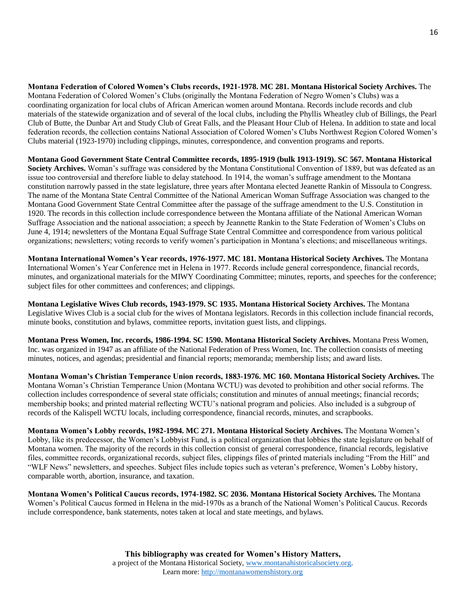**Montana Federation of Colored Women's Clubs records, 1921-1978. MC 281. Montana Historical Society Archives.** The Montana Federation of Colored Women's Clubs (originally the Montana Federation of Negro Women's Clubs) was a coordinating organization for local clubs of African American women around Montana. Records include records and club materials of the statewide organization and of several of the local clubs, including the Phyllis Wheatley club of Billings, the Pearl Club of Butte, the Dunbar Art and Study Club of Great Falls, and the Pleasant Hour Club of Helena. In addition to state and local federation records, the collection contains National Association of Colored Women's Clubs Northwest Region Colored Women's Clubs material (1923-1970) including clippings, minutes, correspondence, and convention programs and reports.

**Montana Good Government State Central Committee records, 1895-1919 (bulk 1913-1919). SC 567. Montana Historical**  Society Archives. Woman's suffrage was considered by the Montana Constitutional Convention of 1889, but was defeated as an issue too controversial and therefore liable to delay statehood. In 1914, the woman's suffrage amendment to the Montana constitution narrowly passed in the state legislature, three years after Montana elected Jeanette Rankin of Missoula to Congress. The name of the Montana State Central Committee of the National American Woman Suffrage Association was changed to the Montana Good Government State Central Committee after the passage of the suffrage amendment to the U.S. Constitution in 1920. The records in this collection include correspondence between the Montana affiliate of the National American Woman Suffrage Association and the national association; a speech by Jeannette Rankin to the State Federation of Women's Clubs on June 4, 1914; newsletters of the Montana Equal Suffrage State Central Committee and correspondence from various political organizations; newsletters; voting records to verify women's participation in Montana's elections; and miscellaneous writings.

**Montana International Women's Year records, 1976-1977. MC 181. Montana Historical Society Archives.** The Montana International Women's Year Conference met in Helena in 1977. Records include general correspondence, financial records, minutes, and organizational materials for the MIWY Coordinating Committee; minutes, reports, and speeches for the conference; subject files for other committees and conferences; and clippings.

**Montana Legislative Wives Club records, 1943-1979. SC 1935. Montana Historical Society Archives.** The Montana Legislative Wives Club is a social club for the wives of Montana legislators. Records in this collection include financial records, minute books, constitution and bylaws, committee reports, invitation guest lists, and clippings.

**Montana Press Women, Inc. records, 1986-1994. SC 1590. Montana Historical Society Archives.** Montana Press Women, Inc. was organized in 1947 as an affiliate of the National Federation of Press Women, Inc. The collection consists of meeting minutes, notices, and agendas; presidential and financial reports; memoranda; membership lists; and award lists.

**Montana Woman's Christian Temperance Union records, 1883-1976. MC 160. Montana Historical Society Archives.** The Montana Woman's Christian Temperance Union (Montana WCTU) was devoted to prohibition and other social reforms. The collection includes correspondence of several state officials; constitution and minutes of annual meetings; financial records; membership books; and printed material reflecting WCTU's national program and policies. Also included is a subgroup of records of the Kalispell WCTU locals, including correspondence, financial records, minutes, and scrapbooks.

**Montana Women's Lobby records, 1982-1994. MC 271. Montana Historical Society Archives.** The Montana Women's Lobby, like its predecessor, the Women's Lobbyist Fund, is a political organization that lobbies the state legislature on behalf of Montana women. The majority of the records in this collection consist of general correspondence, financial records, legislative files, committee records, organizational records, subject files, clippings files of printed materials including "From the Hill" and "WLF News" newsletters, and speeches. Subject files include topics such as veteran's preference, Women's Lobby history, comparable worth, abortion, insurance, and taxation.

**Montana Women's Political Caucus records, 1974-1982. SC 2036. Montana Historical Society Archives.** The Montana Women's Political Caucus formed in Helena in the mid-1970s as a branch of the National Women's Political Caucus. Records include correspondence, bank statements, notes taken at local and state meetings, and bylaws.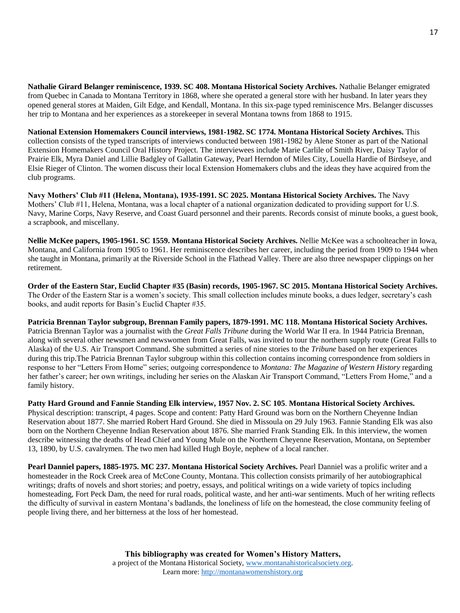**Nathalie Girard Belanger reminiscence, 1939. SC 408. Montana Historical Society Archives.** Nathalie Belanger emigrated from Quebec in Canada to Montana Territory in 1868, where she operated a general store with her husband. In later years they opened general stores at Maiden, Gilt Edge, and Kendall, Montana. In this six-page typed reminiscence Mrs. Belanger discusses her trip to Montana and her experiences as a storekeeper in several Montana towns from 1868 to 1915.

**National Extension Homemakers Council interviews, 1981-1982. SC 1774. Montana Historical Society Archives.** This collection consists of the typed transcripts of interviews conducted between 1981-1982 by Alene Stoner as part of the National Extension Homemakers Council Oral History Project. The interviewees include Marie Carlile of Smith River, Daisy Taylor of Prairie Elk, Myra Daniel and Lillie Badgley of Gallatin Gateway, Pearl Herndon of Miles City, Louella Hardie of Birdseye, and Elsie Rieger of Clinton. The women discuss their local Extension Homemakers clubs and the ideas they have acquired from the club programs.

**Navy Mothers' Club #11 (Helena, Montana), 1935-1991. SC 2025. Montana Historical Society Archives.** The Navy Mothers' Club #11, Helena, Montana, was a local chapter of a national organization dedicated to providing support for U.S. Navy, Marine Corps, Navy Reserve, and Coast Guard personnel and their parents. Records consist of minute books, a guest book, a scrapbook, and miscellany.

**Nellie McKee papers, 1905-1961. SC 1559. Montana Historical Society Archives.** Nellie McKee was a schoolteacher in Iowa, Montana, and California from 1905 to 1961. Her reminiscence describes her career, including the period from 1909 to 1944 when she taught in Montana, primarily at the Riverside School in the Flathead Valley. There are also three newspaper clippings on her retirement.

**Order of the Eastern Star, Euclid Chapter #35 (Basin) records, 1905-1967. SC 2015. Montana Historical Society Archives.** The Order of the Eastern Star is a women's society. This small collection includes minute books, a dues ledger, secretary's cash books, and audit reports for Basin's Euclid Chapter #35.

**Patricia Brennan Taylor subgroup, Brennan Family papers, 1879-1991. MC 118. Montana Historical Society Archives.** Patricia Brennan Taylor was a journalist with the *Great Falls Tribune* during the World War II era. In 1944 Patricia Brennan, along with several other newsmen and newswomen from Great Falls, was invited to tour the northern supply route (Great Falls to Alaska) of the U.S. Air Transport Command. She submitted a series of nine stories to the *Tribune* based on her experiences during this trip.The Patricia Brennan Taylor subgroup within this collection contains incoming correspondence from soldiers in response to her "Letters From Home" series; outgoing correspondence to *Montana: The Magazine of Western History* regarding her father's career; her own writings, including her series on the Alaskan Air Transport Command, "Letters From Home," and a family history.

**Patty Hard Ground and Fannie Standing Elk interview, 1957 Nov. 2. SC 105**. **Montana Historical Society Archives.** Physical description: transcript, 4 pages. Scope and content: Patty Hard Ground was born on the Northern Cheyenne Indian Reservation about 1877. She married Robert Hard Ground. She died in Missoula on 29 July 1963. Fannie Standing Elk was also born on the Northern Cheyenne Indian Reservation about 1876. She married Frank Standing Elk. In this interview, the women describe witnessing the deaths of Head Chief and Young Mule on the Northern Cheyenne Reservation, Montana, on September 13, 1890, by U.S. cavalrymen. The two men had killed Hugh Boyle, nephew of a local rancher.

**Pearl Danniel papers, 1885-1975. MC 237. Montana Historical Society Archives.** Pearl Danniel was a prolific writer and a homesteader in the Rock Creek area of McCone County, Montana. This collection consists primarily of her autobiographical writings; drafts of novels and short stories; and poetry, essays, and political writings on a wide variety of topics including homesteading, Fort Peck Dam, the need for rural roads, political waste, and her anti-war sentiments. Much of her writing reflects the difficulty of survival in eastern Montana's badlands, the loneliness of life on the homestead, the close community feeling of people living there, and her bitterness at the loss of her homestead.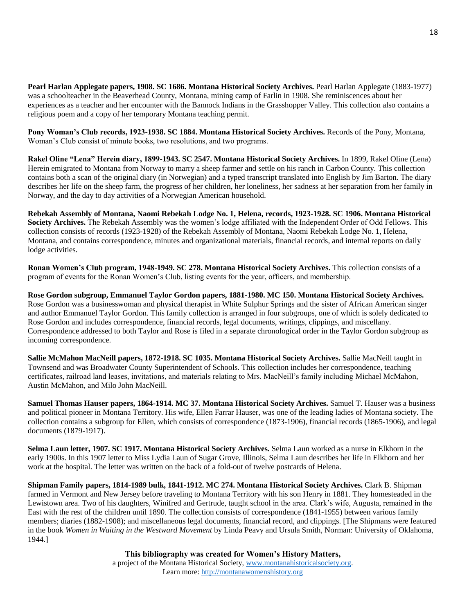**Pearl Harlan Applegate papers, 1908. SC 1686. Montana Historical Society Archives.** Pearl Harlan Applegate (1883-1977) was a schoolteacher in the Beaverhead County, Montana, mining camp of Farlin in 1908. She reminiscences about her experiences as a teacher and her encounter with the Bannock Indians in the Grasshopper Valley. This collection also contains a religious poem and a copy of her temporary Montana teaching permit.

**Pony Woman's Club records, 1923-1938. SC 1884. Montana Historical Society Archives.** Records of the Pony, Montana, Woman's Club consist of minute books, two resolutions, and two programs.

**Rakel Oline "Lena" Herein diary, 1899-1943. SC 2547. Montana Historical Society Archives.** In 1899, Rakel Oline (Lena) Herein emigrated to Montana from Norway to marry a sheep farmer and settle on his ranch in Carbon County. This collection contains both a scan of the original diary (in Norwegian) and a typed transcript translated into English by Jim Barton. The diary describes her life on the sheep farm, the progress of her children, her loneliness, her sadness at her separation from her family in Norway, and the day to day activities of a Norwegian American household.

**Rebekah Assembly of Montana, Naomi Rebekah Lodge No. 1, Helena, records, 1923-1928. SC 1906. Montana Historical Society Archives.** The Rebekah Assembly was the women's lodge affiliated with the Independent Order of Odd Fellows. This collection consists of records (1923-1928) of the Rebekah Assembly of Montana, Naomi Rebekah Lodge No. 1, Helena, Montana, and contains correspondence, minutes and organizational materials, financial records, and internal reports on daily lodge activities.

**Ronan Women's Club program, 1948-1949. SC 278. Montana Historical Society Archives.** This collection consists of a program of events for the Ronan Women's Club, listing events for the year, officers, and membership.

**Rose Gordon subgroup, Emmanuel Taylor Gordon papers, 1881-1980. MC 150. Montana Historical Society Archives.** Rose Gordon was a businesswoman and physical therapist in White Sulphur Springs and the sister of African American singer and author Emmanuel Taylor Gordon. This family collection is arranged in four subgroups, one of which is solely dedicated to Rose Gordon and includes correspondence, financial records, legal documents, writings, clippings, and miscellany. Correspondence addressed to both Taylor and Rose is filed in a separate chronological order in the Taylor Gordon subgroup as incoming correspondence.

**Sallie McMahon MacNeill papers, 1872-1918. SC 1035. Montana Historical Society Archives.** Sallie MacNeill taught in Townsend and was Broadwater County Superintendent of Schools. This collection includes her correspondence, teaching certificates, railroad land leases, invitations, and materials relating to Mrs. MacNeill's family including Michael McMahon, Austin McMahon, and Milo John MacNeill.

**Samuel Thomas Hauser papers, 1864-1914. MC 37. Montana Historical Society Archives.** Samuel T. Hauser was a business and political pioneer in Montana Territory. His wife, Ellen Farrar Hauser, was one of the leading ladies of Montana society. The collection contains a subgroup for Ellen, which consists of correspondence (1873-1906), financial records (1865-1906), and legal documents (1879-1917).

**Selma Laun letter, 1907. SC 1917. Montana Historical Society Archives.** Selma Laun worked as a nurse in Elkhorn in the early 1900s. In this 1907 letter to Miss Lydia Laun of Sugar Grove, Illinois, Selma Laun describes her life in Elkhorn and her work at the hospital. The letter was written on the back of a fold-out of twelve postcards of Helena.

**Shipman Family papers, 1814-1989 bulk, 1841-1912. MC 274. Montana Historical Society Archives.** Clark B. Shipman farmed in Vermont and New Jersey before traveling to Montana Territory with his son Henry in 1881. They homesteaded in the Lewistown area. Two of his daughters, Winifred and Gertrude, taught school in the area. Clark's wife, Augusta, remained in the East with the rest of the children until 1890. The collection consists of correspondence (1841-1955) between various family members; diaries (1882-1908); and miscellaneous legal documents, financial record, and clippings. [The Shipmans were featured in the book *Women in Waiting in the Westward Movement* by Linda Peavy and Ursula Smith, Norman: University of Oklahoma, 1944.]

> **This bibliography was created for Women's History Matters,** a project of the Montana Historical Society, [www.montanahistoricalsociety.org.](www.montanahistoricalsociety.org) Learn more: [http://montanawomenshistory.org](http://montanawomenshistory.org/)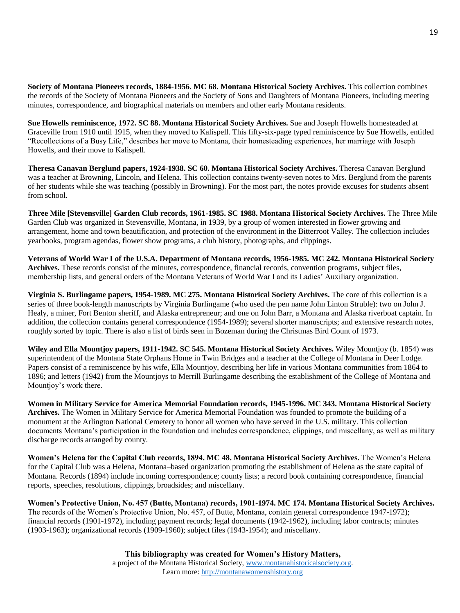**Society of Montana Pioneers records, 1884-1956. MC 68. Montana Historical Society Archives.** This collection combines the records of the Society of Montana Pioneers and the Society of Sons and Daughters of Montana Pioneers, including meeting minutes, correspondence, and biographical materials on members and other early Montana residents.

**Sue Howells reminiscence, 1972. SC 88. Montana Historical Society Archives.** Sue and Joseph Howells homesteaded at Graceville from 1910 until 1915, when they moved to Kalispell. This fifty-six-page typed reminiscence by Sue Howells, entitled "Recollections of a Busy Life," describes her move to Montana, their homesteading experiences, her marriage with Joseph Howells, and their move to Kalispell.

**Theresa Canavan Berglund papers, 1924-1938. SC 60. Montana Historical Society Archives.** Theresa Canavan Berglund was a teacher at Browning, Lincoln, and Helena. This collection contains twenty-seven notes to Mrs. Berglund from the parents of her students while she was teaching (possibly in Browning). For the most part, the notes provide excuses for students absent from school.

**Three Mile [Stevensville] Garden Club records, 1961-1985. SC 1988. Montana Historical Society Archives.** The Three Mile Garden Club was organized in Stevensville, Montana, in 1939, by a group of women interested in flower growing and arrangement, home and town beautification, and protection of the environment in the Bitterroot Valley. The collection includes yearbooks, program agendas, flower show programs, a club history, photographs, and clippings.

**Veterans of World War I of the U.S.A. Department of Montana records, 1956-1985. MC 242. Montana Historical Society Archives.** These records consist of the minutes, correspondence, financial records, convention programs, subject files, membership lists, and general orders of the Montana Veterans of World War I and its Ladies' Auxiliary organization.

**Virginia S. Burlingame papers, 1954-1989. MC 275. Montana Historical Society Archives.** The core of this collection is a series of three book-length manuscripts by Virginia Burlingame (who used the pen name John Linton Struble): two on John J. Healy, a miner, Fort Benton sheriff, and Alaska entrepreneur; and one on John Barr, a Montana and Alaska riverboat captain. In addition, the collection contains general correspondence (1954-1989); several shorter manuscripts; and extensive research notes, roughly sorted by topic. There is also a list of birds seen in Bozeman during the Christmas Bird Count of 1973.

**Wiley and Ella Mountjoy papers, 1911-1942. SC 545. Montana Historical Society Archives.** Wiley Mountjoy (b. 1854) was superintendent of the Montana State Orphans Home in Twin Bridges and a teacher at the College of Montana in Deer Lodge. Papers consist of a reminiscence by his wife, Ella Mountjoy, describing her life in various Montana communities from 1864 to 1896; and letters (1942) from the Mountjoys to Merrill Burlingame describing the establishment of the College of Montana and Mountjoy's work there.

**Women in Military Service for America Memorial Foundation records, 1945-1996. MC 343. Montana Historical Society Archives.** The Women in Military Service for America Memorial Foundation was founded to promote the building of a monument at the Arlington National Cemetery to honor all women who have served in the U.S. military. This collection documents Montana's participation in the foundation and includes correspondence, clippings, and miscellany, as well as military discharge records arranged by county.

**Women's Helena for the Capital Club records, 1894. MC 48. Montana Historical Society Archives.** The Women's Helena for the Capital Club was a Helena, Montana–based organization promoting the establishment of Helena as the state capital of Montana. Records (1894) include incoming correspondence; county lists; a record book containing correspondence, financial reports, speeches, resolutions, clippings, broadsides; and miscellany.

**Women's Protective Union, No. 457 (Butte, Montana) records, 1901-1974. MC 174. Montana Historical Society Archives.** The records of the Women's Protective Union, No. 457, of Butte, Montana, contain general correspondence 1947-1972); financial records (1901-1972), including payment records; legal documents (1942-1962), including labor contracts; minutes (1903-1963); organizational records (1909-1960); subject files (1943-1954); and miscellany.